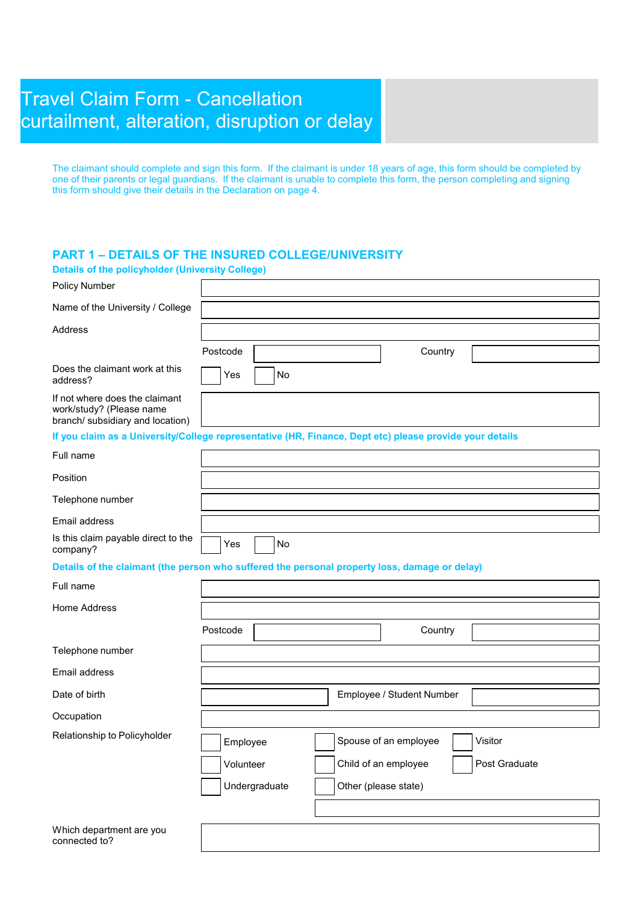# Travel Claim Form - Cancellation curtailment, alteration, disruption or delay

The claimant should complete and sign this form. If the claimant is under 18 years of age, this form should be completed by one of their parents or legal guardians. If the claimant is unable to complete this form, the person completing and signing this form should give their details in the Declaration on page 4.

## **PART 1 – DETAILS OF THE INSURED COLLEGE/UNIVERSITY**

| <b>Details of the policyholder (University College)</b>                                                 |               |                      |                           |               |
|---------------------------------------------------------------------------------------------------------|---------------|----------------------|---------------------------|---------------|
| <b>Policy Number</b>                                                                                    |               |                      |                           |               |
| Name of the University / College                                                                        |               |                      |                           |               |
| Address                                                                                                 |               |                      |                           |               |
|                                                                                                         | Postcode      |                      | Country                   |               |
| Does the claimant work at this<br>address?                                                              | No<br>Yes     |                      |                           |               |
| If not where does the claimant<br>work/study? (Please name<br>branch/ subsidiary and location)          |               |                      |                           |               |
| If you claim as a University/College representative (HR, Finance, Dept etc) please provide your details |               |                      |                           |               |
| Full name                                                                                               |               |                      |                           |               |
| Position                                                                                                |               |                      |                           |               |
| Telephone number                                                                                        |               |                      |                           |               |
| Email address                                                                                           |               |                      |                           |               |
| Is this claim payable direct to the<br>company?                                                         | No<br>Yes     |                      |                           |               |
| Details of the claimant (the person who suffered the personal property loss, damage or delay)           |               |                      |                           |               |
| Full name                                                                                               |               |                      |                           |               |
| Home Address                                                                                            |               |                      |                           |               |
|                                                                                                         | Postcode      |                      | Country                   |               |
| Telephone number                                                                                        |               |                      |                           |               |
| Email address                                                                                           |               |                      |                           |               |
| Date of birth                                                                                           |               |                      | Employee / Student Number |               |
| Occupation                                                                                              |               |                      |                           |               |
| Relationship to Policyholder                                                                            | Employee      |                      | Spouse of an employee     | Visitor       |
|                                                                                                         | Volunteer     |                      | Child of an employee      | Post Graduate |
|                                                                                                         | Undergraduate | Other (please state) |                           |               |
|                                                                                                         |               |                      |                           |               |
| Which department are you<br>connected to?                                                               |               |                      |                           |               |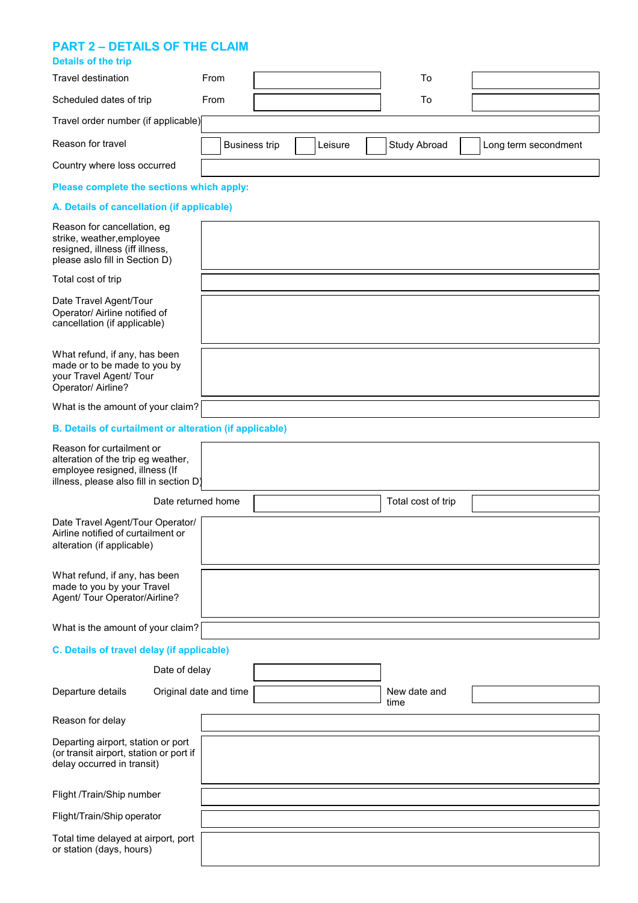#### **PART 2 – DETAILS OF THE CLAIM**

| <b>Details of the trip</b>                                                                                                                   |                        |                      |  |         |  |                      |                      |
|----------------------------------------------------------------------------------------------------------------------------------------------|------------------------|----------------------|--|---------|--|----------------------|----------------------|
| Travel destination                                                                                                                           | From                   |                      |  |         |  | To                   |                      |
| Scheduled dates of trip                                                                                                                      | From                   |                      |  |         |  | To                   |                      |
| Travel order number (if applicable)                                                                                                          |                        |                      |  |         |  |                      |                      |
| Reason for travel                                                                                                                            |                        | <b>Business trip</b> |  | Leisure |  | Study Abroad         | Long term secondment |
| Country where loss occurred                                                                                                                  |                        |                      |  |         |  |                      |                      |
| Please complete the sections which apply:                                                                                                    |                        |                      |  |         |  |                      |                      |
| A. Details of cancellation (if applicable)                                                                                                   |                        |                      |  |         |  |                      |                      |
| Reason for cancellation, eg<br>strike, weather, employee<br>resigned, illness (iff illness,<br>please aslo fill in Section D)                |                        |                      |  |         |  |                      |                      |
| Total cost of trip                                                                                                                           |                        |                      |  |         |  |                      |                      |
| Date Travel Agent/Tour<br>Operator/ Airline notified of<br>cancellation (if applicable)                                                      |                        |                      |  |         |  |                      |                      |
| What refund, if any, has been<br>made or to be made to you by<br>your Travel Agent/ Tour<br>Operator/ Airline?                               |                        |                      |  |         |  |                      |                      |
| What is the amount of your claim?                                                                                                            |                        |                      |  |         |  |                      |                      |
| <b>B. Details of curtailment or alteration (if applicable)</b>                                                                               |                        |                      |  |         |  |                      |                      |
| Reason for curtailment or<br>alteration of the trip eg weather,<br>employee resigned, illness (If<br>illness, please also fill in section D) |                        |                      |  |         |  |                      |                      |
| Date returned home                                                                                                                           |                        |                      |  |         |  | Total cost of trip   |                      |
| Date Travel Agent/Tour Operator/<br>Airline notified of curtailment or<br>alteration (if applicable)                                         |                        |                      |  |         |  |                      |                      |
| What refund, if any, has been<br>made to you by your Travel<br>Agent/ Tour Operator/Airline?                                                 |                        |                      |  |         |  |                      |                      |
| What is the amount of your claim?                                                                                                            |                        |                      |  |         |  |                      |                      |
| C. Details of travel delay (if applicable)                                                                                                   |                        |                      |  |         |  |                      |                      |
| Date of delay                                                                                                                                |                        |                      |  |         |  |                      |                      |
| Departure details                                                                                                                            | Original date and time |                      |  |         |  | New date and<br>time |                      |
| Reason for delay                                                                                                                             |                        |                      |  |         |  |                      |                      |
| Departing airport, station or port<br>(or transit airport, station or port if<br>delay occurred in transit)                                  |                        |                      |  |         |  |                      |                      |
| Flight /Train/Ship number                                                                                                                    |                        |                      |  |         |  |                      |                      |
| Flight/Train/Ship operator                                                                                                                   |                        |                      |  |         |  |                      |                      |
| Total time delayed at airport, port<br>or station (days, hours)                                                                              |                        |                      |  |         |  |                      |                      |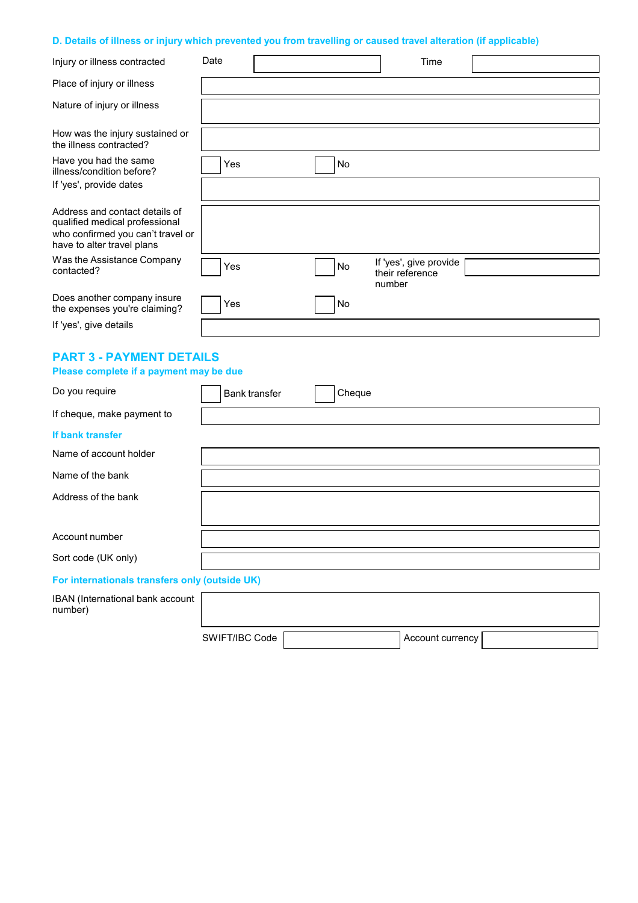## **D. Details of illness or injury which prevented you from travelling or caused travel alteration (if applicable)**

| Injury or illness contracted                                                                                                        | Date |               |    |        | Time                                                |  |
|-------------------------------------------------------------------------------------------------------------------------------------|------|---------------|----|--------|-----------------------------------------------------|--|
| Place of injury or illness                                                                                                          |      |               |    |        |                                                     |  |
| Nature of injury or illness                                                                                                         |      |               |    |        |                                                     |  |
| How was the injury sustained or<br>the illness contracted?                                                                          |      |               |    |        |                                                     |  |
| Have you had the same<br>illness/condition before?<br>If 'yes', provide dates                                                       | Yes  |               | No |        |                                                     |  |
|                                                                                                                                     |      |               |    |        |                                                     |  |
| Address and contact details of<br>qualified medical professional<br>who confirmed you can't travel or<br>have to alter travel plans |      |               |    |        |                                                     |  |
| Was the Assistance Company<br>contacted?                                                                                            | Yes  |               | No |        | If 'yes', give provide<br>their reference<br>number |  |
| Does another company insure<br>the expenses you're claiming?                                                                        | Yes  |               | No |        |                                                     |  |
| If 'yes', give details                                                                                                              |      |               |    |        |                                                     |  |
| <b>PART 3 - PAYMENT DETAILS</b><br>Please complete if a payment may be due                                                          |      |               |    |        |                                                     |  |
| Do you require                                                                                                                      |      | Bank transfer |    | Cheque |                                                     |  |
| If cheque, make payment to                                                                                                          |      |               |    |        |                                                     |  |
| If bank transfer                                                                                                                    |      |               |    |        |                                                     |  |
| Name of account holder                                                                                                              |      |               |    |        |                                                     |  |
| Name of the bank                                                                                                                    |      |               |    |        |                                                     |  |
| Address of the bank                                                                                                                 |      |               |    |        |                                                     |  |
| Account number                                                                                                                      |      |               |    |        |                                                     |  |
| Sort code (UK only)                                                                                                                 |      |               |    |        |                                                     |  |
| For internationals transfers only (outside UK)                                                                                      |      |               |    |        |                                                     |  |
| IBAN (International bank account<br>number)                                                                                         |      |               |    |        |                                                     |  |

| SWIFT/IBC Code | Account currency |  |
|----------------|------------------|--|
|                |                  |  |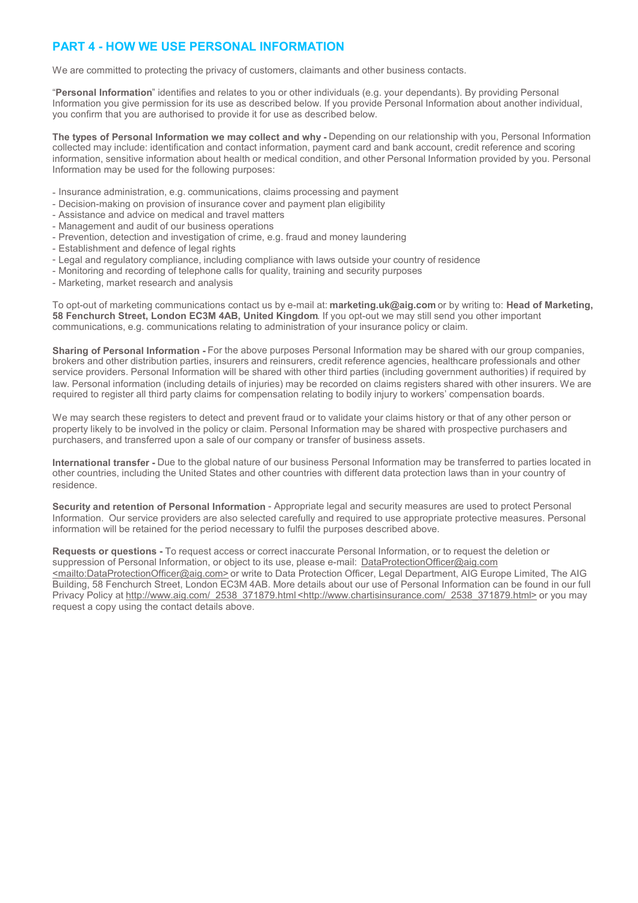## **PART 4 - HOW WE USE PERSONAL INFORMATION**

We are committed to protecting the privacy of customers, claimants and other business contacts.

"**Personal Information**" identifies and relates to you or other individuals (e.g. your dependants). By providing Personal Information you give permission for its use as described below. If you provide Personal Information about another individual, you confirm that you are authorised to provide it for use as described below.

**The types of Personal Information we may collect and why -** Depending on our relationship with you, Personal Information collected may include: identification and contact information, payment card and bank account, credit reference and scoring information, sensitive information about health or medical condition, and other Personal Information provided by you. Personal Information may be used for the following purposes:

- Insurance administration, e.g. communications, claims processing and payment
- Decision-making on provision of insurance cover and payment plan eligibility
- Assistance and advice on medical and travel matters
- Management and audit of our business operations
- Prevention, detection and investigation of crime, e.g. fraud and money laundering
- Establishment and defence of legal rights
- Legal and regulatory compliance, including compliance with laws outside your country of residence
- Monitoring and recording of telephone calls for quality, training and security purposes
- Marketing, market research and analysis

To opt-out of marketing communications contact us by e-mail at: **marketing.uk@aig.com** or by writing to: **Head of Marketing, 58 Fenchurch Street, London EC3M 4AB, United Kingdom**. If you opt-out we may still send you other important communications, e.g. communications relating to administration of your insurance policy or claim.

**Sharing of Personal Information -** For the above purposes Personal Information may be shared with our group companies, brokers and other distribution parties, insurers and reinsurers, credit reference agencies, healthcare professionals and other service providers. Personal Information will be shared with other third parties (including government authorities) if required by law. Personal information (including details of injuries) may be recorded on claims registers shared with other insurers. We are required to register all third party claims for compensation relating to bodily injury to workers' compensation boards.

We may search these registers to detect and prevent fraud or to validate your claims history or that of any other person or property likely to be involved in the policy or claim. Personal Information may be shared with prospective purchasers and purchasers, and transferred upon a sale of our company or transfer of business assets.

**International transfer -** Due to the global nature of our business Personal Information may be transferred to parties located in other countries, including the United States and other countries with different data protection laws than in your country of residence.

**Security and retention of Personal Information** - Appropriate legal and security measures are used to protect Personal Information. Our service providers are also selected carefully and required to use appropriate protective measures. Personal information will be retained for the period necessary to fulfil the purposes described above.

**Requests or questions -** To request access or correct inaccurate Personal Information, or to request the deletion or suppression of Personal Information, or object to its use, please e-mail: DataProtectionOfficer@aig.com <mailto:DataProtectionOfficer@aig.com> or write to Data Protection Officer, Legal Department, AIG Europe Limited, The AIG Building, 58 Fenchurch Street, London EC3M 4AB. More details about our use of Personal Information can be found in our full Privacy Policy at http://www.aig.com/\_2538\_371879.html <http://www.chartisinsurance.com/\_2538\_371879.html> or you may request a copy using the contact details above.